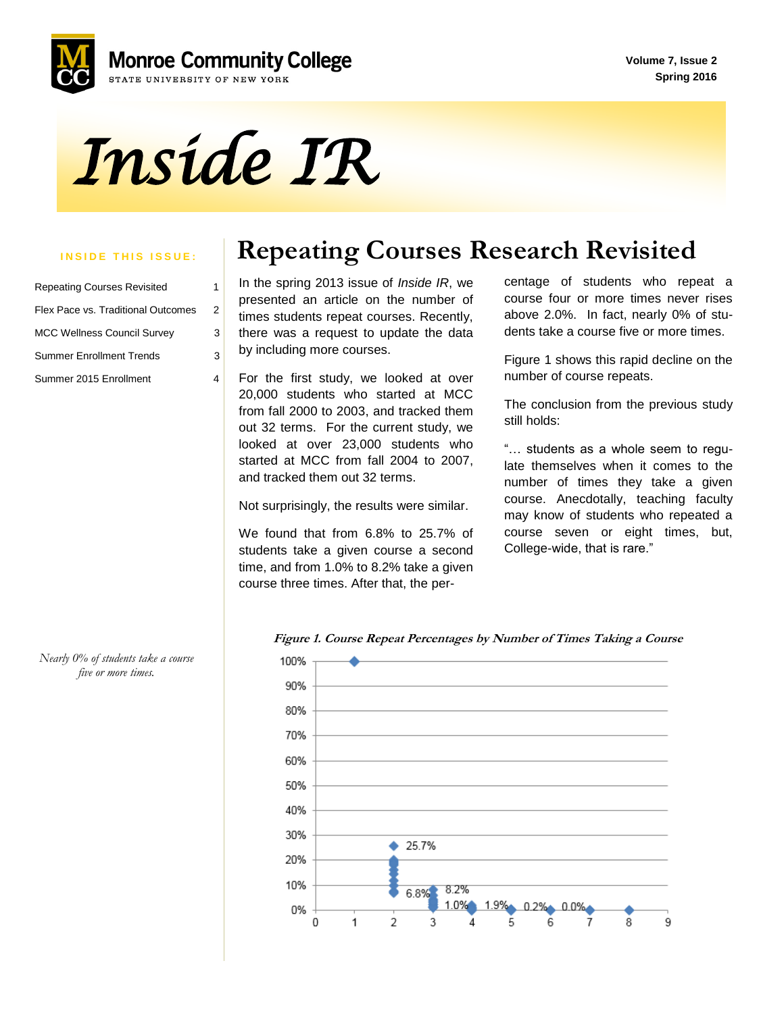**Volume 7, Issue 2 Spring 2016**



# *Inside IR*

| <b>Repeating Courses Revisited</b> |   |
|------------------------------------|---|
| Flex Pace vs. Traditional Outcomes | 2 |
| <b>MCC Wellness Council Survey</b> | 3 |
| <b>Summer Enrollment Trends</b>    |   |
| Summer 2015 Enrollment             |   |

## **INSIDE THIS ISSUE:** | Repeating Courses Research Revisited

In the spring 2013 issue of *Inside IR*, we presented an article on the number of times students repeat courses. Recently, there was a request to update the data by including more courses.

 For the first study, we looked at over 20,000 students who started at MCC from fall 2000 to 2003, and tracked them out 32 terms. For the current study, we looked at over 23,000 students who started at MCC from fall 2004 to 2007, and tracked them out 32 terms.

Not surprisingly, the results were similar.

 We found that from 6.8% to 25.7% of students take a given course a second time, and from 1.0% to 8.2% take a given course three times. After that, the percentage of students who repeat a course four or more times never rises above 2.0%. In fact, nearly 0% of students take a course five or more times.

Figure 1 shows this rapid decline on the number of course repeats.

The conclusion from the previous study still holds:

"… students as a whole seem to regulate themselves when it comes to the number of times they take a given course. Anecdotally, teaching faculty may know of students who repeated a course seven or eight times, but, College-wide, that is rare."





*Nearly 0% of students take a course five or more times.*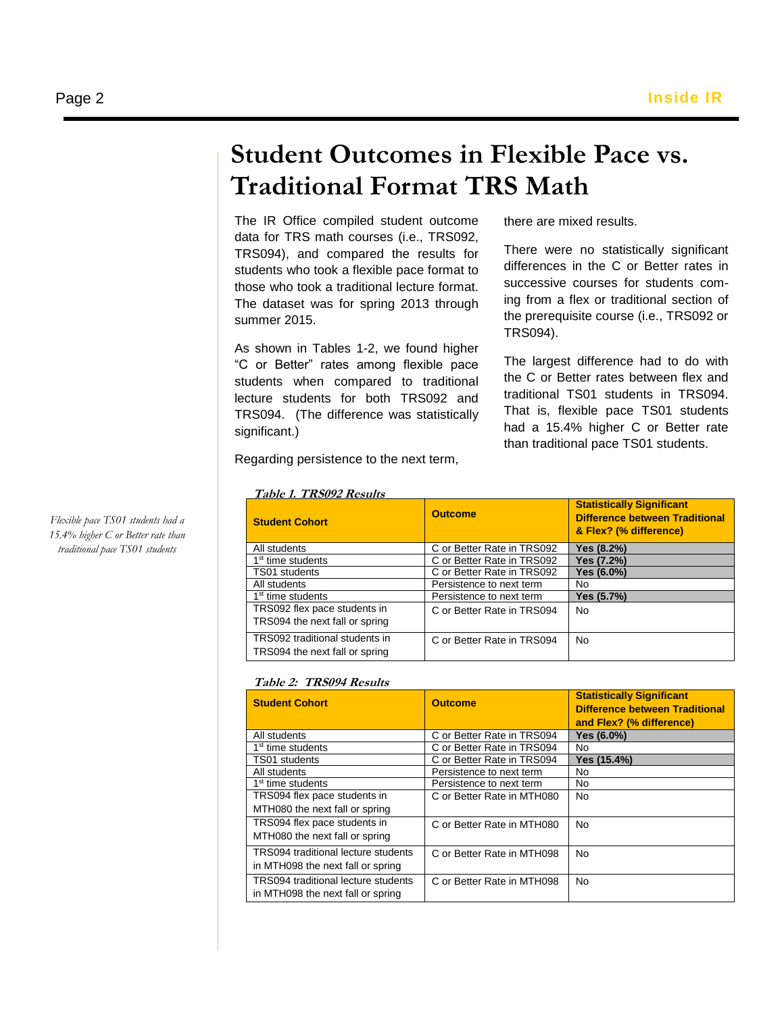## **Student Outcomes in Flexible Pace vs. Traditional Format TRS Math**

The IR Office compiled student outcome data for TRS math courses (i.e., TRS092, TRS094), and compared the results for students who took a flexible pace format to those who took a traditional lecture format. The dataset was for spring 2013 through summer 2015.

 lecture students for both TRS092 and As shown in Tables 1-2, we found higher "C or Better" rates among flexible pace students when compared to traditional TRS094. (The difference was statistically significant.)

there are mixed results.

There were no statistically significant differences in the C or Better rates in successive courses for students coming from a flex or traditional section of the prerequisite course (i.e., TRS092 or TRS094).

The largest difference had to do with the C or Better rates between flex and traditional TS01 students in TRS094. That is, flexible pace TS01 students had a 15.4% higher C or Better rate than traditional pace TS01 students.

Regarding persistence to the next term,

| <b>Student Cohort</b>                                            | <b>Outcome</b>             | <b>Statistically Significant</b><br><b>Difference between Traditional</b><br>& Flex? (% difference) |
|------------------------------------------------------------------|----------------------------|-----------------------------------------------------------------------------------------------------|
| All students                                                     | C or Better Rate in TRS092 | Yes (8.2%)                                                                                          |
| 1 <sup>st</sup> time students                                    | C or Better Rate in TRS092 | Yes (7.2%)                                                                                          |
| TS01 students                                                    | C or Better Rate in TRS092 | Yes (6.0%)                                                                                          |
| All students                                                     | Persistence to next term   | No                                                                                                  |
| 1 <sup>st</sup> time students                                    | Persistence to next term   | Yes (5.7%)                                                                                          |
| TRS092 flex pace students in<br>TRS094 the next fall or spring   | C or Better Rate in TRS094 | No.                                                                                                 |
| TRS092 traditional students in<br>TRS094 the next fall or spring | C or Better Rate in TRS094 | No.                                                                                                 |

#### **Table 1. TRS092 Results**

#### **Table 2: TRS094 Results**

| <b>Student Cohort</b>                      | <b>Outcome</b>             | <b>Statistically Significant</b><br><b>Difference between Traditional</b><br>and Flex? (% difference) |
|--------------------------------------------|----------------------------|-------------------------------------------------------------------------------------------------------|
| All students                               | C or Better Rate in TRS094 | Yes (6.0%)                                                                                            |
| 1 <sup>st</sup> time students              | C or Better Rate in TRS094 | No                                                                                                    |
| TS01 students                              | C or Better Rate in TRS094 | Yes (15.4%)                                                                                           |
| All students                               | Persistence to next term   | No                                                                                                    |
| 1 <sup>st</sup> time students              | Persistence to next term   | No                                                                                                    |
| TRS094 flex pace students in               | C or Better Rate in MTH080 | <b>No</b>                                                                                             |
| MTH080 the next fall or spring             |                            |                                                                                                       |
| TRS094 flex pace students in               | C or Better Rate in MTH080 | No.                                                                                                   |
| MTH080 the next fall or spring             |                            |                                                                                                       |
| TRS094 traditional lecture students        | C or Better Rate in MTH098 | No.                                                                                                   |
| in MTH098 the next fall or spring          |                            |                                                                                                       |
| <b>TRS094</b> traditional lecture students | C or Better Rate in MTH098 | No.                                                                                                   |
| in MTH098 the next fall or spring          |                            |                                                                                                       |

*Flexible pace TS01 students had a 15.4% higher C or Better rate than traditional pace TS01 students*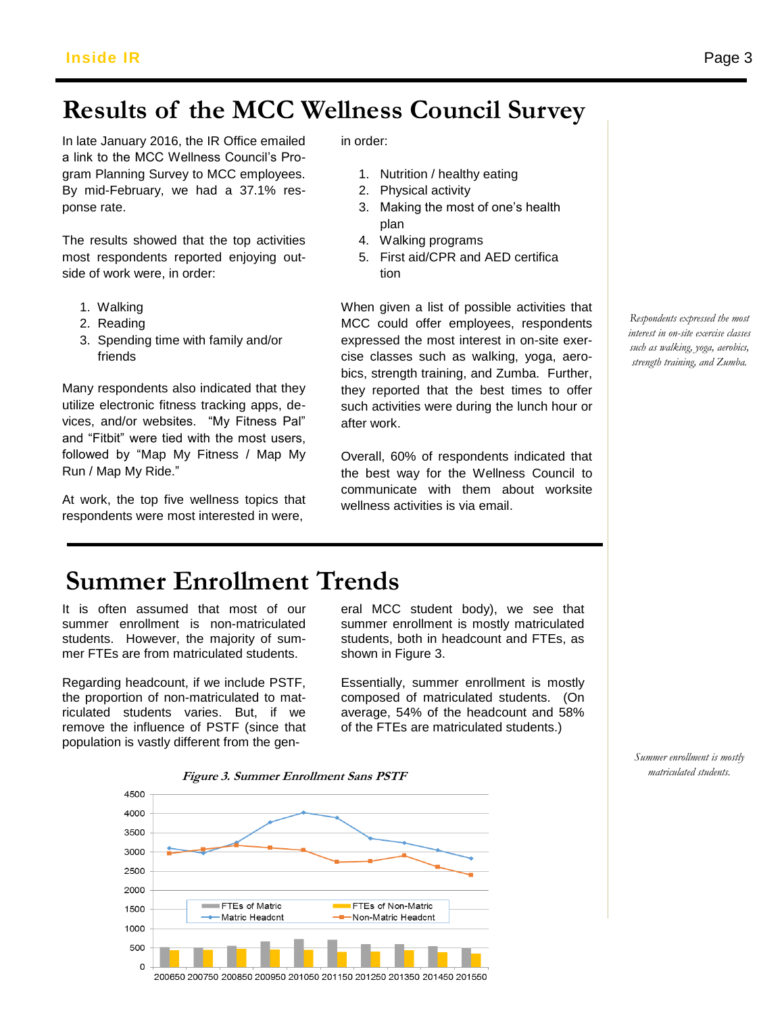## Results of the MCC Wellness Council Survey

In late January 2016, the IR Office emailed a link to the MCC Wellness Council's Proa link to the MCC vveliness Council's Pro-<br>gram Planning Survey to MCC employees. **1. Nutrition / healthy eating** By mid-February, we had a 37.1% response rate.

The results showed that the top activities most respondents reported enjoying outside of work were, in order:

- 1. Walking
- 2. Reading
- 3. Spending time with family and/or friends

Many respondents also indicated that they utilize electronic fitness tracking apps, devices, and/or websites. "My Fitness Pal" and "Fitbit" were tied with the most users, followed by "Map My Fitness / Map My Run / Map My Ride."

At work, the top five wellness topics that respondents were most interested in were,

in order:

- 1. Nutrition / healthy eating
- 2. Physical activity
- 3. Making the most of one's health plan
- 4. Walking programs
- 5. First aid/CPR and AED certifica tion

When given a list of possible activities that MCC could offer employees, respondents expressed the most interest in on-site exercise classes such as walking, yoga, aerobics, strength training, and Zumba. Further, they reported that the best times to offer such activities were during the lunch hour or after work.

Overall, 60% of respondents indicated that the best way for the Wellness Council to communicate with them about worksite wellness activities is via email.

*Respondents expressed the most interest in on-site exercise classes such as walking, yoga, aerobics, strength training, and Zumba.* 

## **Summer Enrollment Trends**

It is often assumed that most of our summer enrollment is non-matriculated students. However, the majority of summer FTEs are from matriculated students.

Regarding headcount, if we include PSTF, the proportion of non-matriculated to matriculated students varies. But, if we remove the influence of PSTF (since that population is vastly different from the gen-

eral MCC student body), we see that summer enrollment is mostly matriculated students, both in headcount and FTEs, as shown in Figure 3.

Essentially, summer enrollment is mostly composed of matriculated students. (On average, 54% of the headcount and 58% of the FTEs are matriculated students.)

> *Summer enrollment is mostly matriculated students.*



200650 200750 200850 200950 201050 201150 201250 201350 201450 201550